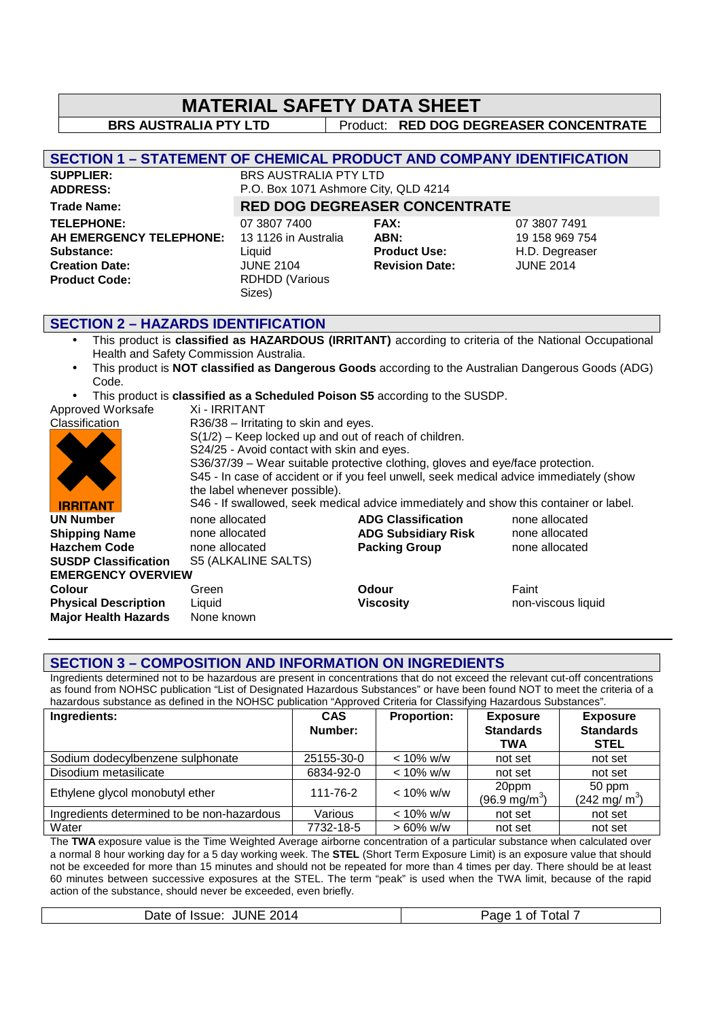| <b>MATERIAL SAFETY DATA SHEET</b><br><b>BRS AUSTRALIA PTY LTD</b><br>Product: RED DOG DEGREASER CONCENTRATE<br><b>SECTION 1 – STATEMENT OF CHEMICAL PRODUCT AND COMPANY IDENTIFICATION</b> |  |  |  |  |  |
|--------------------------------------------------------------------------------------------------------------------------------------------------------------------------------------------|--|--|--|--|--|
|                                                                                                                                                                                            |  |  |  |  |  |
|                                                                                                                                                                                            |  |  |  |  |  |
|                                                                                                                                                                                            |  |  |  |  |  |
|                                                                                                                                                                                            |  |  |  |  |  |
| <b>SUPPLIER:</b><br><b>BRS AUSTRALIA PTY LTD</b>                                                                                                                                           |  |  |  |  |  |
| <b>ADDRESS:</b><br>P.O. Box 1071 Ashmore City, QLD 4214                                                                                                                                    |  |  |  |  |  |
| <b>RED DOG DEGREASER CONCENTRATE</b><br><b>Trade Name:</b>                                                                                                                                 |  |  |  |  |  |
| 07 3807 7400<br><b>TELEPHONE:</b><br><b>FAX:</b><br>07 3807 7491                                                                                                                           |  |  |  |  |  |
| 13 1126 in Australia<br>19 158 969 754<br>AH EMERGENCY TELEPHONE:<br>ABN:                                                                                                                  |  |  |  |  |  |
| <b>Product Use:</b><br>H.D. Degreaser<br>Substance:<br>Liquid                                                                                                                              |  |  |  |  |  |
| <b>JUNE 2014</b><br><b>JUNE 2104</b><br><b>Creation Date:</b><br><b>Revision Date:</b>                                                                                                     |  |  |  |  |  |
| <b>RDHDD (Various</b><br><b>Product Code:</b>                                                                                                                                              |  |  |  |  |  |
| Sizes)                                                                                                                                                                                     |  |  |  |  |  |
|                                                                                                                                                                                            |  |  |  |  |  |
| <b>SECTION 2 - HAZARDS IDENTIFICATION</b>                                                                                                                                                  |  |  |  |  |  |
| This product is classified as HAZARDOUS (IRRITANT) according to criteria of the National Occupational<br>$\bullet$                                                                         |  |  |  |  |  |
| Health and Safety Commission Australia.                                                                                                                                                    |  |  |  |  |  |
| This product is <b>NOT classified as Dangerous Goods</b> according to the Australian Dangerous Goods (ADG)<br>Code.                                                                        |  |  |  |  |  |
|                                                                                                                                                                                            |  |  |  |  |  |
| This product is classified as a Scheduled Poison S5 according to the SUSDP.<br>Approved Worksafe<br>Xi - IRRITANT                                                                          |  |  |  |  |  |

**Classification** R36/38 – Irritating to skin and eyes. S(1/2) – Keep locked up and out of reach of children. S24/25 - Avoid contact with skin and eyes. S36/37/39 – Wear suitable protective clothing, gloves and eye/face protection. S45 - In case of accident or if you feel unwell, seek medical advice immediately (show the label whenever possible). S46 - If swallowed, seek medical advice immediately and show this container or label. **IRRITANT UN Number** none allocated **ADG Classification** none allocated **Shipping Name** none allocated **ADG Subsidiary Risk** none allocated **Hazchem Code** none allocated **Packing Group** none allocated **SUSDP Classification** S5 (ALKALINE SALTS) **EMERGENCY OVERVIEW Colour Colour** Green **Odour Odour** Faint **Physical Description** Liquid **Viscosity** non-viscous liquid **Major Health Hazards** None known

#### **SECTION 3 – COMPOSITION AND INFORMATION ON INGREDIENTS**

Ingredients determined not to be hazardous are present in concentrations that do not exceed the relevant cut-off concentrations as found from NOHSC publication "List of Designated Hazardous Substances" or have been found NOT to meet the criteria of a hazardous substance as defined in the NOHSC publication "Approved Criteria for Classifying Hazardous Substances".

| Ingredients:                               | <b>CAS</b><br>Number: | <b>Proportion:</b> | <b>Exposure</b><br><b>Standards</b><br>TWA | <b>Exposure</b><br><b>Standards</b><br><b>STEL</b> |
|--------------------------------------------|-----------------------|--------------------|--------------------------------------------|----------------------------------------------------|
| Sodium dodecylbenzene sulphonate           | 25155-30-0            | $< 10\%$ w/w       | not set                                    | not set                                            |
| Disodium metasilicate                      | 6834-92-0             | $< 10\%$ w/w       | not set                                    | not set                                            |
| Ethylene glycol monobutyl ether            | 111-76-2              | $< 10\%$ w/w       | 20ppm<br>$(96.9 \text{ mg/m}^3)$           | 50 ppm<br>$(242 \text{ mg/m}^3)$                   |
| Ingredients determined to be non-hazardous | Various               | $< 10\%$ w/w       | not set                                    | not set                                            |
| Water                                      | 7732-18-5             | $>60\%$ w/w        | not set                                    | not set                                            |

The **TWA** exposure value is the Time Weighted Average airborne concentration of a particular substance when calculated over a normal 8 hour working day for a 5 day working week. The **STEL** (Short Term Exposure Limit) is an exposure value that should not be exceeded for more than 15 minutes and should not be repeated for more than 4 times per day. There should be at least 60 minutes between successive exposures at the STEL. The term "peak" is used when the TWA limit, because of the rapid action of the substance, should never be exceeded, even briefly.

| Date of Issue: JUNE 2014 | Page 1 of Total |
|--------------------------|-----------------|
|--------------------------|-----------------|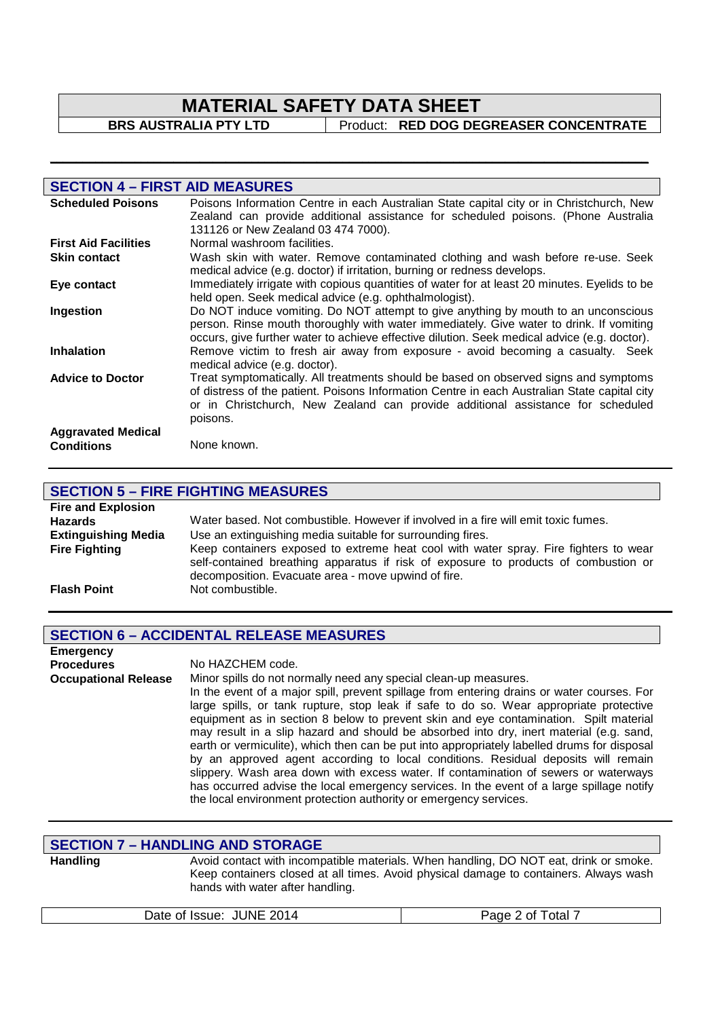**\_\_\_\_\_\_\_\_\_\_\_\_\_\_\_\_\_\_\_\_\_\_\_\_\_\_\_\_\_\_\_\_\_\_\_\_\_\_\_\_\_\_\_\_\_\_\_\_\_\_\_\_\_\_\_\_\_\_\_\_\_\_\_\_\_\_\_\_\_\_\_\_\_\_\_\_\_\_\_\_\_\_\_\_\_\_\_\_\_\_\_\_** 

**BRS AUSTRALIA PTY LTD** Product: **RED DOG DEGREASER CONCENTRATE** 

| <b>SECTION 4 - FIRST AID MEASURES</b>          |                                                                                                                                                                                                                                                                                     |
|------------------------------------------------|-------------------------------------------------------------------------------------------------------------------------------------------------------------------------------------------------------------------------------------------------------------------------------------|
| <b>Scheduled Poisons</b>                       | Poisons Information Centre in each Australian State capital city or in Christchurch, New<br>Zealand can provide additional assistance for scheduled poisons. (Phone Australia<br>131126 or New Zealand 03 474 7000).                                                                |
| <b>First Aid Facilities</b>                    | Normal washroom facilities.                                                                                                                                                                                                                                                         |
| <b>Skin contact</b>                            | Wash skin with water. Remove contaminated clothing and wash before re-use. Seek<br>medical advice (e.g. doctor) if irritation, burning or redness develops.                                                                                                                         |
| Eye contact                                    | Immediately irrigate with copious quantities of water for at least 20 minutes. Eyelids to be<br>held open. Seek medical advice (e.g. ophthalmologist).                                                                                                                              |
| Ingestion                                      | Do NOT induce vomiting. Do NOT attempt to give anything by mouth to an unconscious<br>person. Rinse mouth thoroughly with water immediately. Give water to drink. If vomiting<br>occurs, give further water to achieve effective dilution. Seek medical advice (e.g. doctor).       |
| <b>Inhalation</b>                              | Remove victim to fresh air away from exposure - avoid becoming a casualty. Seek<br>medical advice (e.g. doctor).                                                                                                                                                                    |
| <b>Advice to Doctor</b>                        | Treat symptomatically. All treatments should be based on observed signs and symptoms<br>of distress of the patient. Poisons Information Centre in each Australian State capital city<br>or in Christchurch, New Zealand can provide additional assistance for scheduled<br>poisons. |
| <b>Aggravated Medical</b><br><b>Conditions</b> | None known.                                                                                                                                                                                                                                                                         |

| <b>SECTION 5 - FIRE FIGHTING MEASURES</b> |                                                                                                                                                                                                                                    |  |  |
|-------------------------------------------|------------------------------------------------------------------------------------------------------------------------------------------------------------------------------------------------------------------------------------|--|--|
| <b>Fire and Explosion</b>                 |                                                                                                                                                                                                                                    |  |  |
| <b>Hazards</b>                            | Water based. Not combustible. However if involved in a fire will emit toxic fumes.                                                                                                                                                 |  |  |
| <b>Extinguishing Media</b>                | Use an extinguishing media suitable for surrounding fires.                                                                                                                                                                         |  |  |
| <b>Fire Fighting</b>                      | Keep containers exposed to extreme heat cool with water spray. Fire fighters to wear<br>self-contained breathing apparatus if risk of exposure to products of combustion or<br>decomposition. Evacuate area - move upwind of fire. |  |  |
| <b>Flash Point</b>                        | Not combustible.                                                                                                                                                                                                                   |  |  |
|                                           |                                                                                                                                                                                                                                    |  |  |

# **SECTION 6 – ACCIDENTAL RELEASE MEASURES**

| <b>Emergency</b>            |                                                                                             |
|-----------------------------|---------------------------------------------------------------------------------------------|
| <b>Procedures</b>           | No HAZCHEM code.                                                                            |
| <b>Occupational Release</b> | Minor spills do not normally need any special clean-up measures.                            |
|                             | In the event of a major spill, prevent spillage from entering drains or water courses. For  |
|                             | large spills, or tank rupture, stop leak if safe to do so. Wear appropriate protective      |
|                             | equipment as in section 8 below to prevent skin and eye contamination. Spilt material       |
|                             | may result in a slip hazard and should be absorbed into dry, inert material (e.g. sand,     |
|                             | earth or vermiculite), which then can be put into appropriately labelled drums for disposal |
|                             | by an approved agent according to local conditions. Residual deposits will remain           |
|                             | slippery. Wash area down with excess water. If contamination of sewers or waterways         |
|                             | has occurred advise the local emergency services. In the event of a large spillage notify   |
|                             | the local environment protection authority or emergency services.                           |

### **SECTION 7 – HANDLING AND STORAGE**

Handling **Handling** Avoid contact with incompatible materials. When handling, DO NOT eat, drink or smoke. Keep containers closed at all times. Avoid physical damage to containers. Always wash hands with water after handling.

| Date of Issue: JUNE 2014<br>Page 2 of Total 7 |
|-----------------------------------------------|
|-----------------------------------------------|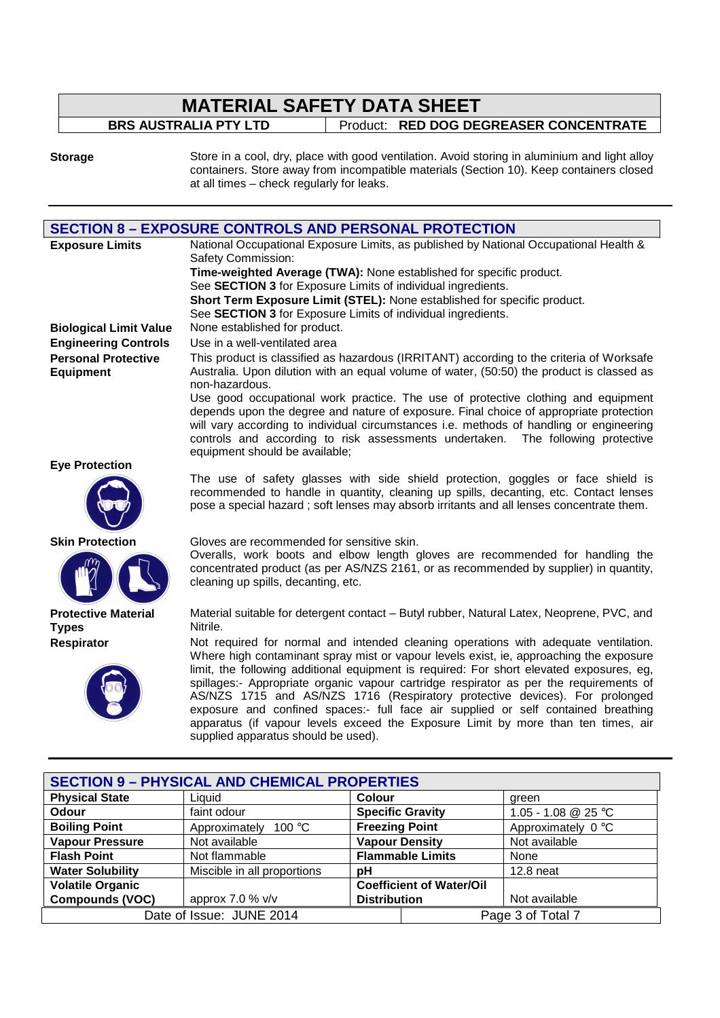| <b>MATERIAL SAFETY DATA SHEET</b> |  |                                        |  |  |  |
|-----------------------------------|--|----------------------------------------|--|--|--|
| <b>BRS AUSTRALIA PTY LTD</b>      |  | Product: RED DOG DEGREASER CONCENTRATE |  |  |  |
|                                   |  |                                        |  |  |  |

**Storage** Store in a cool, dry, place with good ventilation. Avoid storing in aluminium and light alloy containers. Store away from incompatible materials (Section 10). Keep containers closed at all times – check regularly for leaks.

|                                                                                   | <b>SECTION 8 - EXPOSURE CONTROLS AND PERSONAL PROTECTION</b>                                                                                                                          |                         |                     |  |  |
|-----------------------------------------------------------------------------------|---------------------------------------------------------------------------------------------------------------------------------------------------------------------------------------|-------------------------|---------------------|--|--|
| <b>Exposure Limits</b>                                                            | National Occupational Exposure Limits, as published by National Occupational Health &                                                                                                 |                         |                     |  |  |
|                                                                                   | Safety Commission:                                                                                                                                                                    |                         |                     |  |  |
|                                                                                   | Time-weighted Average (TWA): None established for specific product.                                                                                                                   |                         |                     |  |  |
|                                                                                   | See SECTION 3 for Exposure Limits of individual ingredients.                                                                                                                          |                         |                     |  |  |
|                                                                                   | Short Term Exposure Limit (STEL): None established for specific product.                                                                                                              |                         |                     |  |  |
|                                                                                   | See SECTION 3 for Exposure Limits of individual ingredients.                                                                                                                          |                         |                     |  |  |
| <b>Biological Limit Value</b>                                                     | None established for product.                                                                                                                                                         |                         |                     |  |  |
| <b>Engineering Controls</b>                                                       | Use in a well-ventilated area                                                                                                                                                         |                         |                     |  |  |
| <b>Personal Protective</b><br><b>Equipment</b>                                    | This product is classified as hazardous (IRRITANT) according to the criteria of Worksafe<br>Australia. Upon dilution with an equal volume of water, (50:50) the product is classed as |                         |                     |  |  |
|                                                                                   | non-hazardous.                                                                                                                                                                        |                         |                     |  |  |
|                                                                                   | Use good occupational work practice. The use of protective clothing and equipment                                                                                                     |                         |                     |  |  |
|                                                                                   | depends upon the degree and nature of exposure. Final choice of appropriate protection                                                                                                |                         |                     |  |  |
|                                                                                   | will vary according to individual circumstances i.e. methods of handling or engineering                                                                                               |                         |                     |  |  |
|                                                                                   | controls and according to risk assessments undertaken. The following protective<br>equipment should be available;                                                                     |                         |                     |  |  |
| <b>Eye Protection</b>                                                             |                                                                                                                                                                                       |                         |                     |  |  |
|                                                                                   | The use of safety glasses with side shield protection, goggles or face shield is                                                                                                      |                         |                     |  |  |
|                                                                                   | recommended to handle in quantity, cleaning up spills, decanting, etc. Contact lenses                                                                                                 |                         |                     |  |  |
|                                                                                   | pose a special hazard; soft lenses may absorb irritants and all lenses concentrate them.                                                                                              |                         |                     |  |  |
|                                                                                   |                                                                                                                                                                                       |                         |                     |  |  |
| <b>Skin Protection</b>                                                            | Gloves are recommended for sensitive skin.                                                                                                                                            |                         |                     |  |  |
|                                                                                   | Overalls, work boots and elbow length gloves are recommended for handling the                                                                                                         |                         |                     |  |  |
|                                                                                   | concentrated product (as per AS/NZS 2161, or as recommended by supplier) in quantity,                                                                                                 |                         |                     |  |  |
|                                                                                   | cleaning up spills, decanting, etc.                                                                                                                                                   |                         |                     |  |  |
|                                                                                   |                                                                                                                                                                                       |                         |                     |  |  |
| <b>Protective Material</b>                                                        | Material suitable for detergent contact - Butyl rubber, Natural Latex, Neoprene, PVC, and                                                                                             |                         |                     |  |  |
| <b>Types</b>                                                                      | Nitrile.                                                                                                                                                                              |                         |                     |  |  |
| Respirator                                                                        | Not required for normal and intended cleaning operations with adequate ventilation.                                                                                                   |                         |                     |  |  |
|                                                                                   | Where high contaminant spray mist or vapour levels exist, ie, approaching the exposure                                                                                                |                         |                     |  |  |
|                                                                                   | limit, the following additional equipment is required: For short elevated exposures, eg,                                                                                              |                         |                     |  |  |
|                                                                                   | spillages:- Appropriate organic vapour cartridge respirator as per the requirements of                                                                                                |                         |                     |  |  |
|                                                                                   | AS/NZS 1715 and AS/NZS 1716 (Respiratory protective devices). For prolonged                                                                                                           |                         |                     |  |  |
|                                                                                   | exposure and confined spaces:- full face air supplied or self contained breathing                                                                                                     |                         |                     |  |  |
| apparatus (if vapour levels exceed the Exposure Limit by more than ten times, air |                                                                                                                                                                                       |                         |                     |  |  |
|                                                                                   | supplied apparatus should be used).                                                                                                                                                   |                         |                     |  |  |
|                                                                                   |                                                                                                                                                                                       |                         |                     |  |  |
|                                                                                   | <b>SECTION 9 - PHYSICAL AND CHEMICAL PROPERTIES</b>                                                                                                                                   |                         |                     |  |  |
| <b>Physical State</b>                                                             | Liquid                                                                                                                                                                                | Colour                  | green               |  |  |
| Odour                                                                             | faint odour                                                                                                                                                                           | <b>Specific Gravity</b> | 1.05 - 1.08 @ 25 °C |  |  |
| n - 99<br>$\sim$ m $\sim$ for                                                     | $\Lambda$ and an analysis.<br>10000                                                                                                                                                   | Experience Button       | $A = 2$             |  |  |

| <b>Odour</b>            | faint odour                       |                       | Specific Gravity                | 1.05 - 1.08 @ 25 °C         |
|-------------------------|-----------------------------------|-----------------------|---------------------------------|-----------------------------|
| <b>Boiling Point</b>    | Approximately<br>100 $^{\circ}$ C | <b>Freezing Point</b> |                                 | Approximately $0^{\circ}$ C |
| <b>Vapour Pressure</b>  | Not available                     | <b>Vapour Density</b> |                                 | Not available               |
| <b>Flash Point</b>      | Not flammable                     |                       | <b>Flammable Limits</b>         | None                        |
| <b>Water Solubility</b> | Miscible in all proportions       | рH                    |                                 | $12.8$ neat                 |
| <b>Volatile Organic</b> |                                   |                       | <b>Coefficient of Water/Oil</b> |                             |
| <b>Compounds (VOC)</b>  | approx 7.0 % $v/v$                | <b>Distribution</b>   |                                 | Not available               |
|                         | Date of Issue: JUNE 2014          |                       |                                 | Page 3 of Total 7           |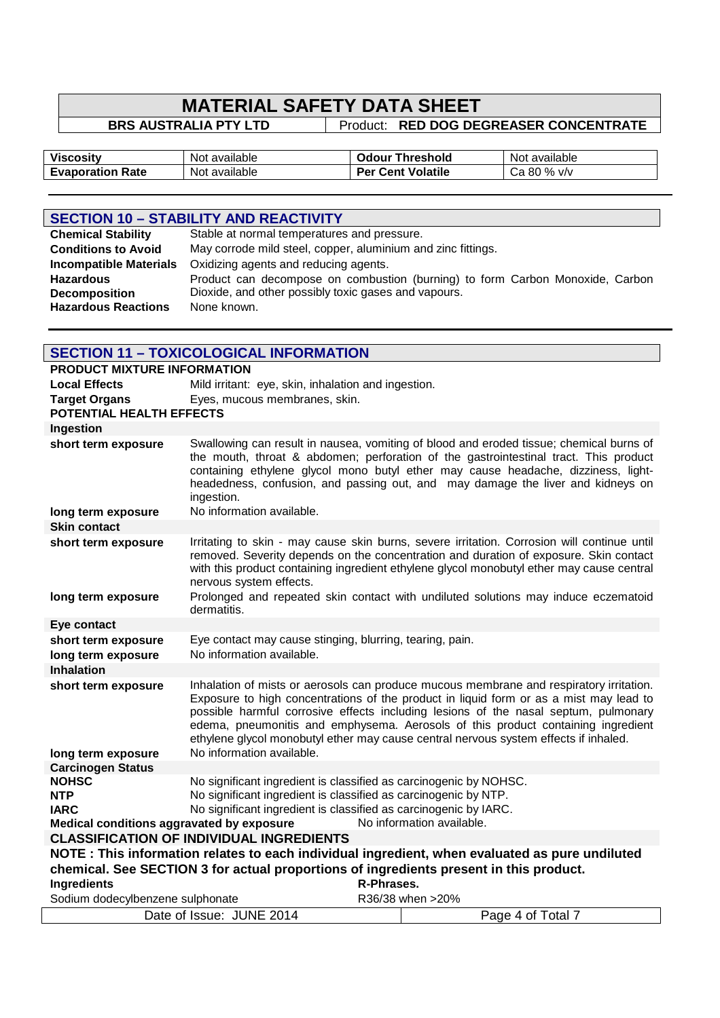**BRS AUSTRALIA PTY LTD | Product: RED DOG DEGREASER CONCENTRATE** 

| <b>Viscositv</b>        | available         | <b>Threshold</b>            | available         |
|-------------------------|-------------------|-----------------------------|-------------------|
|                         | Not.              | <b>Jdour</b>                | Not               |
| <b>Evaporation Rate</b> | ∶available<br>Not | <b>Cent Volatile</b><br>Per | % v/v<br>80<br>∪d |

# **SECTION 10 – STABILITY AND REACTIVITY**

| <b>Chemical Stability</b>     | Stable at normal temperatures and pressure.                                   |
|-------------------------------|-------------------------------------------------------------------------------|
| <b>Conditions to Avoid</b>    | May corrode mild steel, copper, aluminium and zinc fittings.                  |
| <b>Incompatible Materials</b> | Oxidizing agents and reducing agents.                                         |
| <b>Hazardous</b>              | Product can decompose on combustion (burning) to form Carbon Monoxide, Carbon |
| <b>Decomposition</b>          | Dioxide, and other possibly toxic gases and vapours.                          |
| <b>Hazardous Reactions</b>    | None known.                                                                   |
|                               |                                                                               |

| <b>SECTION 11 - TOXICOLOGICAL INFORMATION</b>                                                                                                                                             |                                                                                                                                                                                                                                                                                                                                                                                                                                                      |            |                                                                                                                                                                                                                                                                                                                                                         |
|-------------------------------------------------------------------------------------------------------------------------------------------------------------------------------------------|------------------------------------------------------------------------------------------------------------------------------------------------------------------------------------------------------------------------------------------------------------------------------------------------------------------------------------------------------------------------------------------------------------------------------------------------------|------------|---------------------------------------------------------------------------------------------------------------------------------------------------------------------------------------------------------------------------------------------------------------------------------------------------------------------------------------------------------|
| <b>PRODUCT MIXTURE INFORMATION</b>                                                                                                                                                        |                                                                                                                                                                                                                                                                                                                                                                                                                                                      |            |                                                                                                                                                                                                                                                                                                                                                         |
| <b>Local Effects</b>                                                                                                                                                                      | Mild irritant: eye, skin, inhalation and ingestion.                                                                                                                                                                                                                                                                                                                                                                                                  |            |                                                                                                                                                                                                                                                                                                                                                         |
| Eyes, mucous membranes, skin.<br><b>Target Organs</b><br>POTENTIAL HEALTH EFFECTS                                                                                                         |                                                                                                                                                                                                                                                                                                                                                                                                                                                      |            |                                                                                                                                                                                                                                                                                                                                                         |
| Ingestion                                                                                                                                                                                 |                                                                                                                                                                                                                                                                                                                                                                                                                                                      |            |                                                                                                                                                                                                                                                                                                                                                         |
| short term exposure                                                                                                                                                                       | ingestion.                                                                                                                                                                                                                                                                                                                                                                                                                                           |            | Swallowing can result in nausea, vomiting of blood and eroded tissue; chemical burns of<br>the mouth, throat & abdomen; perforation of the gastrointestinal tract. This product<br>containing ethylene glycol mono butyl ether may cause headache, dizziness, light-<br>headedness, confusion, and passing out, and may damage the liver and kidneys on |
| long term exposure                                                                                                                                                                        | No information available.                                                                                                                                                                                                                                                                                                                                                                                                                            |            |                                                                                                                                                                                                                                                                                                                                                         |
| <b>Skin contact</b>                                                                                                                                                                       |                                                                                                                                                                                                                                                                                                                                                                                                                                                      |            |                                                                                                                                                                                                                                                                                                                                                         |
| short term exposure                                                                                                                                                                       | nervous system effects.                                                                                                                                                                                                                                                                                                                                                                                                                              |            | Irritating to skin - may cause skin burns, severe irritation. Corrosion will continue until<br>removed. Severity depends on the concentration and duration of exposure. Skin contact<br>with this product containing ingredient ethylene glycol monobutyl ether may cause central                                                                       |
| long term exposure                                                                                                                                                                        | dermatitis.                                                                                                                                                                                                                                                                                                                                                                                                                                          |            | Prolonged and repeated skin contact with undiluted solutions may induce eczematoid                                                                                                                                                                                                                                                                      |
| <b>Eye contact</b>                                                                                                                                                                        |                                                                                                                                                                                                                                                                                                                                                                                                                                                      |            |                                                                                                                                                                                                                                                                                                                                                         |
| short term exposure<br>long term exposure                                                                                                                                                 | Eye contact may cause stinging, blurring, tearing, pain.<br>No information available.                                                                                                                                                                                                                                                                                                                                                                |            |                                                                                                                                                                                                                                                                                                                                                         |
| <b>Inhalation</b>                                                                                                                                                                         |                                                                                                                                                                                                                                                                                                                                                                                                                                                      |            |                                                                                                                                                                                                                                                                                                                                                         |
| short term exposure                                                                                                                                                                       | Inhalation of mists or aerosols can produce mucous membrane and respiratory irritation.<br>Exposure to high concentrations of the product in liquid form or as a mist may lead to<br>possible harmful corrosive effects including lesions of the nasal septum, pulmonary<br>edema, pneumonitis and emphysema. Aerosols of this product containing ingredient<br>ethylene glycol monobutyl ether may cause central nervous system effects if inhaled. |            |                                                                                                                                                                                                                                                                                                                                                         |
| long term exposure                                                                                                                                                                        | No information available.                                                                                                                                                                                                                                                                                                                                                                                                                            |            |                                                                                                                                                                                                                                                                                                                                                         |
| <b>Carcinogen Status</b>                                                                                                                                                                  |                                                                                                                                                                                                                                                                                                                                                                                                                                                      |            |                                                                                                                                                                                                                                                                                                                                                         |
| <b>NOHSC</b>                                                                                                                                                                              | No significant ingredient is classified as carcinogenic by NOHSC.                                                                                                                                                                                                                                                                                                                                                                                    |            |                                                                                                                                                                                                                                                                                                                                                         |
| <b>NTP</b>                                                                                                                                                                                | No significant ingredient is classified as carcinogenic by NTP.                                                                                                                                                                                                                                                                                                                                                                                      |            |                                                                                                                                                                                                                                                                                                                                                         |
| No significant ingredient is classified as carcinogenic by IARC.<br><b>IARC</b><br>Medical conditions aggravated by exposure<br>No information available.                                 |                                                                                                                                                                                                                                                                                                                                                                                                                                                      |            |                                                                                                                                                                                                                                                                                                                                                         |
| <b>CLASSIFICATION OF INDIVIDUAL INGREDIENTS</b>                                                                                                                                           |                                                                                                                                                                                                                                                                                                                                                                                                                                                      |            |                                                                                                                                                                                                                                                                                                                                                         |
|                                                                                                                                                                                           |                                                                                                                                                                                                                                                                                                                                                                                                                                                      |            |                                                                                                                                                                                                                                                                                                                                                         |
| NOTE : This information relates to each individual ingredient, when evaluated as pure undiluted<br>chemical. See SECTION 3 for actual proportions of ingredients present in this product. |                                                                                                                                                                                                                                                                                                                                                                                                                                                      |            |                                                                                                                                                                                                                                                                                                                                                         |
| Ingredients                                                                                                                                                                               |                                                                                                                                                                                                                                                                                                                                                                                                                                                      | R-Phrases. |                                                                                                                                                                                                                                                                                                                                                         |
| Sodium dodecylbenzene sulphonate                                                                                                                                                          |                                                                                                                                                                                                                                                                                                                                                                                                                                                      |            | R36/38 when >20%                                                                                                                                                                                                                                                                                                                                        |
|                                                                                                                                                                                           | Date of Issue: JUNE 2014                                                                                                                                                                                                                                                                                                                                                                                                                             |            | Page 4 of Total 7                                                                                                                                                                                                                                                                                                                                       |
|                                                                                                                                                                                           |                                                                                                                                                                                                                                                                                                                                                                                                                                                      |            |                                                                                                                                                                                                                                                                                                                                                         |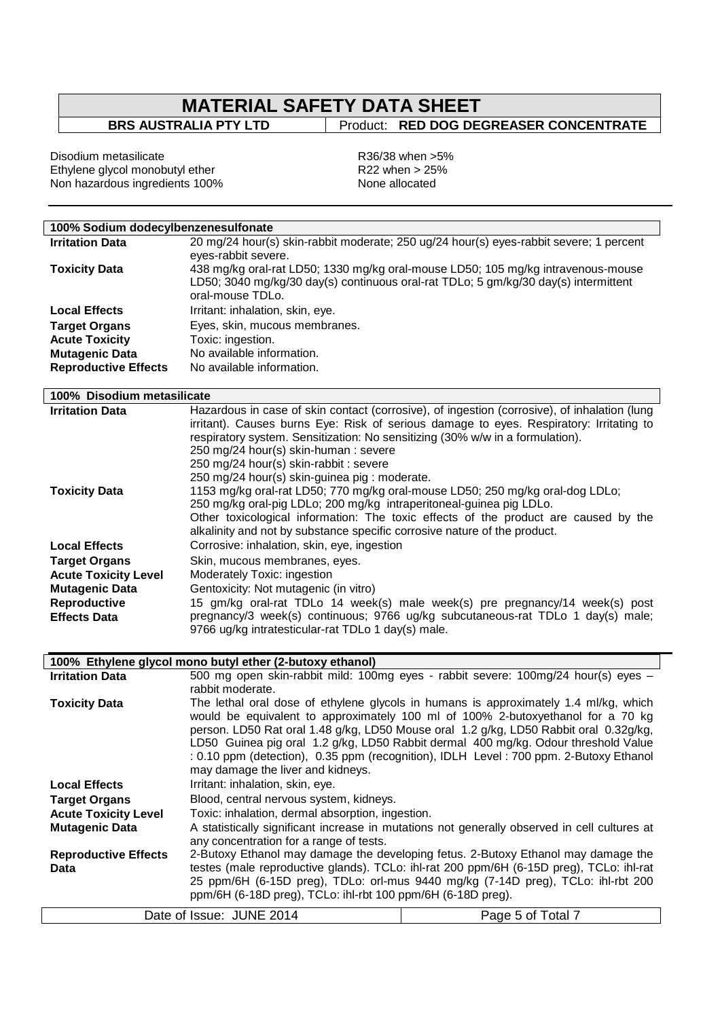# **MATERIAL SAFETY DATA SHEET**<br>BRS AUSTRALIA PTY LTD | Product: RED DOG DE

**Broduct: RED DOG DEGREASER CONCENTRATE** 

Disodium metasilicate **R36/38** when >5% Ethylene glycol monobutyl ether **Example 2018** R22 when > 25% Non hazardous ingredients 100% None allocated

| 100% Sodium dodecylbenzenesulfonate |                                                                               |                                                                                              |  |
|-------------------------------------|-------------------------------------------------------------------------------|----------------------------------------------------------------------------------------------|--|
| <b>Irritation Data</b>              |                                                                               | 20 mg/24 hour(s) skin-rabbit moderate; 250 ug/24 hour(s) eyes-rabbit severe; 1 percent       |  |
|                                     | eyes-rabbit severe.                                                           |                                                                                              |  |
| <b>Toxicity Data</b>                |                                                                               | 438 mg/kg oral-rat LD50; 1330 mg/kg oral-mouse LD50; 105 mg/kg intravenous-mouse             |  |
|                                     |                                                                               | LD50; 3040 mg/kg/30 day(s) continuous oral-rat TDLo; 5 gm/kg/30 day(s) intermittent          |  |
|                                     | oral-mouse TDLo.                                                              |                                                                                              |  |
| <b>Local Effects</b>                | Irritant: inhalation, skin, eye.                                              |                                                                                              |  |
| <b>Target Organs</b>                | Eyes, skin, mucous membranes.                                                 |                                                                                              |  |
| <b>Acute Toxicity</b>               | Toxic: ingestion.                                                             |                                                                                              |  |
| <b>Mutagenic Data</b>               | No available information.                                                     |                                                                                              |  |
| <b>Reproductive Effects</b>         | No available information.                                                     |                                                                                              |  |
|                                     |                                                                               |                                                                                              |  |
| 100% Disodium metasilicate          |                                                                               |                                                                                              |  |
| <b>Irritation Data</b>              |                                                                               | Hazardous in case of skin contact (corrosive), of ingestion (corrosive), of inhalation (lung |  |
|                                     |                                                                               | irritant). Causes burns Eye: Risk of serious damage to eyes. Respiratory: Irritating to      |  |
|                                     | respiratory system. Sensitization: No sensitizing (30% w/w in a formulation). |                                                                                              |  |
|                                     | 250 mg/24 hour(s) skin-human : severe                                         |                                                                                              |  |
|                                     | 250 mg/24 hour(s) skin-rabbit : severe                                        |                                                                                              |  |
|                                     | 250 mg/24 hour(s) skin-guinea pig : moderate.                                 |                                                                                              |  |
| <b>Toxicity Data</b>                |                                                                               | 1153 mg/kg oral-rat LD50; 770 mg/kg oral-mouse LD50; 250 mg/kg oral-dog LDLo;                |  |
|                                     | 250 mg/kg oral-pig LDLo; 200 mg/kg intraperitoneal-guinea pig LDLo.           |                                                                                              |  |
|                                     |                                                                               | Other toxicological information: The toxic effects of the product are caused by the          |  |
|                                     | alkalinity and not by substance specific corrosive nature of the product.     |                                                                                              |  |
| <b>Local Effects</b>                | Corrosive: inhalation, skin, eye, ingestion                                   |                                                                                              |  |
| <b>Target Organs</b>                | Skin, mucous membranes, eyes.                                                 |                                                                                              |  |
| <b>Acute Toxicity Level</b>         | Moderately Toxic: ingestion                                                   |                                                                                              |  |
| <b>Mutagenic Data</b>               | Gentoxicity: Not mutagenic (in vitro)                                         |                                                                                              |  |
| Reproductive                        | 15 gm/kg oral-rat TDLo 14 week(s) male week(s) pre pregnancy/14 week(s) post  |                                                                                              |  |
| <b>Effects Data</b>                 |                                                                               | pregnancy/3 week(s) continuous; 9766 ug/kg subcutaneous-rat TDLo 1 day(s) male;              |  |
|                                     | 9766 ug/kg intratesticular-rat TDLo 1 day(s) male.                            |                                                                                              |  |
|                                     |                                                                               |                                                                                              |  |
|                                     | 100% Ethylene glycol mono butyl ether (2-butoxy ethanol)                      |                                                                                              |  |
| <b>Irritation Data</b>              |                                                                               | 500 mg open skin-rabbit mild: 100mg eyes - rabbit severe: 100mg/24 hour(s) eyes -            |  |
|                                     | rabbit moderate.                                                              |                                                                                              |  |
| <b>Toxicity Data</b>                |                                                                               | The lethal oral dose of ethylene glycols in humans is approximately 1.4 ml/kg, which         |  |
|                                     |                                                                               | would be equivalent to approximately 100 ml of 100% 2-butoxyethanol for a 70 kg              |  |
|                                     |                                                                               | person. LD50 Rat oral 1.48 g/kg, LD50 Mouse oral 1.2 g/kg, LD50 Rabbit oral 0.32g/kg,        |  |
|                                     |                                                                               | LD50 Guinea pig oral 1.2 g/kg, LD50 Rabbit dermal 400 mg/kg. Odour threshold Value           |  |
|                                     |                                                                               | : 0.10 ppm (detection), 0.35 ppm (recognition), IDLH Level: 700 ppm. 2-Butoxy Ethanol        |  |
|                                     | may damage the liver and kidneys.                                             |                                                                                              |  |
| <b>Local Effects</b>                | Irritant: inhalation, skin, eye.                                              |                                                                                              |  |
| <b>Target Organs</b>                | Blood, central nervous system, kidneys.                                       |                                                                                              |  |
| <b>Acute Toxicity Level</b>         | Toxic: inhalation, dermal absorption, ingestion.                              |                                                                                              |  |
| <b>Mutagenic Data</b>               |                                                                               | A statistically significant increase in mutations not generally observed in cell cultures at |  |
|                                     | any concentration for a range of tests.                                       |                                                                                              |  |
| <b>Reproductive Effects</b>         |                                                                               | 2-Butoxy Ethanol may damage the developing fetus. 2-Butoxy Ethanol may damage the            |  |
| Data                                |                                                                               | testes (male reproductive glands). TCLo: ihl-rat 200 ppm/6H (6-15D preg), TCLo: ihl-rat      |  |
|                                     |                                                                               | 25 ppm/6H (6-15D preg), TDLo: orl-mus 9440 mg/kg (7-14D preg), TCLo: ihl-rbt 200             |  |
|                                     | ppm/6H (6-18D preg), TCLo: ihl-rbt 100 ppm/6H (6-18D preg).                   |                                                                                              |  |
|                                     | Date of Issue: JUNE 2014                                                      | Page 5 of Total 7                                                                            |  |
|                                     |                                                                               |                                                                                              |  |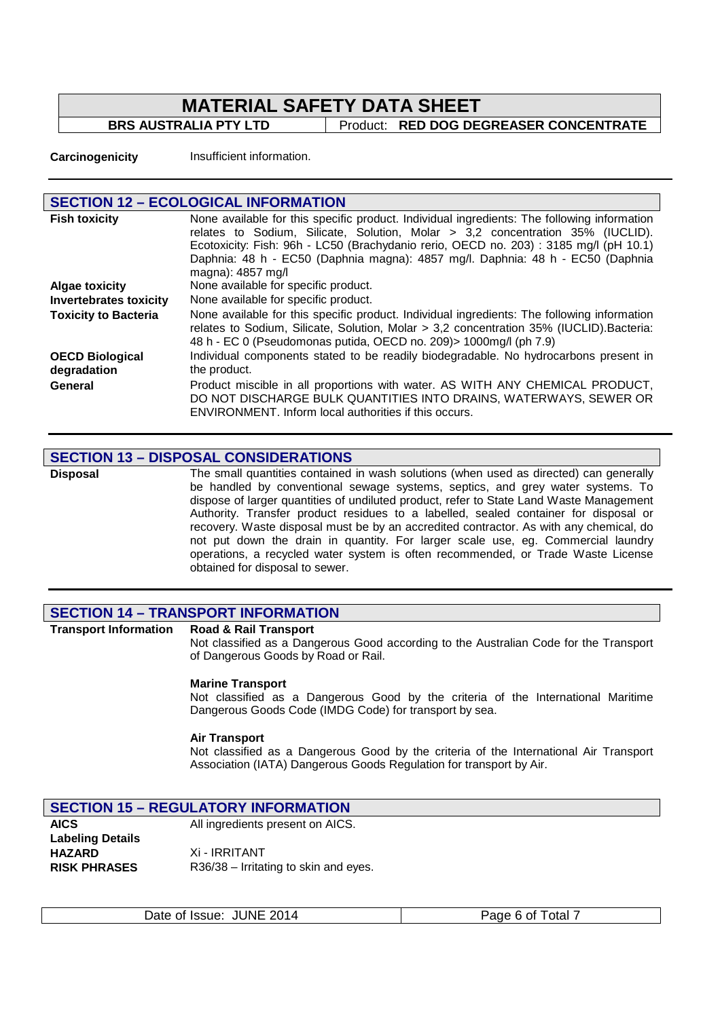**BRS AUSTRALIA PTY LTD** Product: **RED DOG DEGREASER CONCENTRATE** 

**Carcinogenicity** Insufficient information.

| <b>SECTION 12 - ECOLOGICAL INFORMATION</b> |                                                                                                                                                                                                                                                                                                                                                                              |  |
|--------------------------------------------|------------------------------------------------------------------------------------------------------------------------------------------------------------------------------------------------------------------------------------------------------------------------------------------------------------------------------------------------------------------------------|--|
| <b>Fish toxicity</b>                       | None available for this specific product. Individual ingredients: The following information<br>relates to Sodium, Silicate, Solution, Molar > 3,2 concentration 35% (IUCLID).<br>Ecotoxicity: Fish: 96h - LC50 (Brachydanio rerio, OECD no. 203): 3185 mg/l (pH 10.1)<br>Daphnia: 48 h - EC50 (Daphnia magna): 4857 mg/l. Daphnia: 48 h - EC50 (Daphnia<br>magna): 4857 mg/l |  |
| <b>Algae toxicity</b>                      | None available for specific product.                                                                                                                                                                                                                                                                                                                                         |  |
| <b>Invertebrates toxicity</b>              | None available for specific product.                                                                                                                                                                                                                                                                                                                                         |  |
| <b>Toxicity to Bacteria</b>                | None available for this specific product. Individual ingredients: The following information<br>relates to Sodium, Silicate, Solution, Molar > 3,2 concentration 35% (IUCLID). Bacteria:<br>48 h - EC 0 (Pseudomonas putida, OECD no. 209) > 1000mg/l (ph 7.9)                                                                                                                |  |
| <b>OECD Biological</b><br>degradation      | Individual components stated to be readily biodegradable. No hydrocarbons present in<br>the product.                                                                                                                                                                                                                                                                         |  |
| General                                    | Product miscible in all proportions with water. AS WITH ANY CHEMICAL PRODUCT,<br>DO NOT DISCHARGE BULK QUANTITIES INTO DRAINS, WATERWAYS, SEWER OR<br>ENVIRONMENT. Inform local authorities if this occurs.                                                                                                                                                                  |  |

#### **SECTION 13 – DISPOSAL CONSIDERATIONS**

**Disposal** The small quantities contained in wash solutions (when used as directed) can generally be handled by conventional sewage systems, septics, and grey water systems. To dispose of larger quantities of undiluted product, refer to State Land Waste Management Authority. Transfer product residues to a labelled, sealed container for disposal or recovery. Waste disposal must be by an accredited contractor. As with any chemical, do not put down the drain in quantity. For larger scale use, eg. Commercial laundry operations, a recycled water system is often recommended, or Trade Waste License obtained for disposal to sewer.

#### **SECTION 14 – TRANSPORT INFORMATION**

**Transport Information Road & Rail Transport**  Not classified as a Dangerous Good according to the Australian Code for the Transport of Dangerous Goods by Road or Rail.

#### **Marine Transport**

Not classified as a Dangerous Good by the criteria of the International Maritime Dangerous Goods Code (IMDG Code) for transport by sea.

#### **Air Transport**

Not classified as a Dangerous Good by the criteria of the International Air Transport Association (IATA) Dangerous Goods Regulation for transport by Air.

| <b>SECTION 15 - REGULATORY INFORMATION</b> |                                       |  |
|--------------------------------------------|---------------------------------------|--|
| <b>AICS</b>                                | All ingredients present on AICS.      |  |
| <b>Labeling Details</b>                    |                                       |  |
| <b>HAZARD</b>                              | Xi - IRRITANT                         |  |
| <b>RISK PHRASES</b>                        | R36/38 – Irritating to skin and eyes. |  |

R36/38 – Irritating to skin and eyes.

| Date of Issue: JUNE 2014 | Page 6 of Total 7 |
|--------------------------|-------------------|